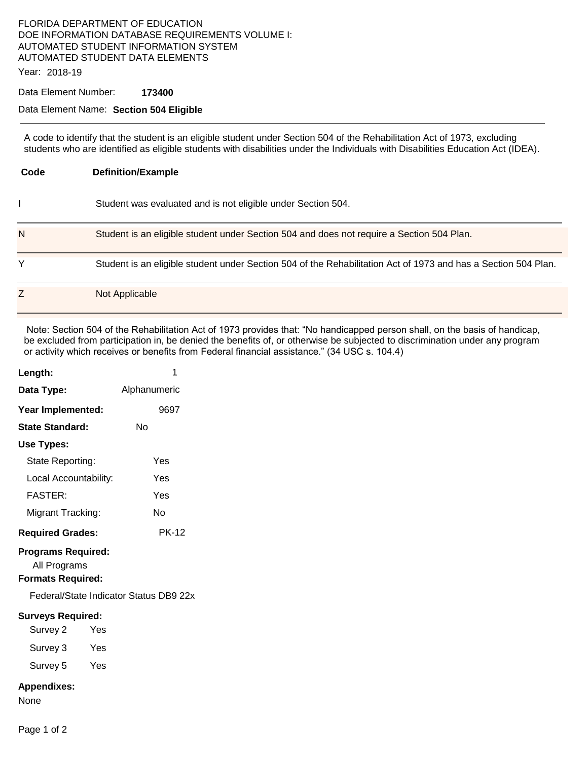# FLORIDA DEPARTMENT OF EDUCATION DOE INFORMATION DATABASE REQUIREMENTS VOLUME I: AUTOMATED STUDENT INFORMATION SYSTEM AUTOMATED STUDENT DATA ELEMENTS

Year: 2018-19

### Data Element Number: **173400**

### Data Element Name: **Section 504 Eligible**

A code to identify that the student is an eligible student under Section 504 of the Rehabilitation Act of 1973, excluding students who are identified as eligible students with disabilities under the Individuals with Disabilities Education Act (IDEA).

| Code | <b>Definition/Example</b>                                                                                      |  |  |
|------|----------------------------------------------------------------------------------------------------------------|--|--|
|      | Student was evaluated and is not eligible under Section 504.                                                   |  |  |
| N    | Student is an eligible student under Section 504 and does not require a Section 504 Plan.                      |  |  |
| Y    | Student is an eligible student under Section 504 of the Rehabilitation Act of 1973 and has a Section 504 Plan. |  |  |
| Z    | Not Applicable                                                                                                 |  |  |

 Note: Section 504 of the Rehabilitation Act of 1973 provides that: "No handicapped person shall, on the basis of handicap, be excluded from participation in, be denied the benefits of, or otherwise be subjected to discrimination under any program or activity which receives or benefits from Federal financial assistance." (34 USC s. 104.4)

| Length:                                                               | 1            |
|-----------------------------------------------------------------------|--------------|
| Data Type:                                                            | Alphanumeric |
| Year Implemented:                                                     | 9697         |
| <b>State Standard:</b>                                                | Nο           |
| Use Types:                                                            |              |
| State Reporting:                                                      | Yes          |
| Local Accountability:                                                 | Yes          |
| <b>FASTER:</b>                                                        | Yes          |
| Migrant Tracking:                                                     | No           |
| <b>Required Grades:</b>                                               | <b>PK-12</b> |
| <b>Programs Required:</b><br>All Programs<br><b>Formats Required:</b> |              |
| Federal/State Indicator Status DB9 22x                                |              |
| <b>Surveys Required:</b>                                              |              |
| Survey 2<br>Yes                                                       |              |
| Survey 3<br>Yes                                                       |              |
| Survey 5<br>Yes                                                       |              |
| <b>Appendixes:</b><br>None                                            |              |